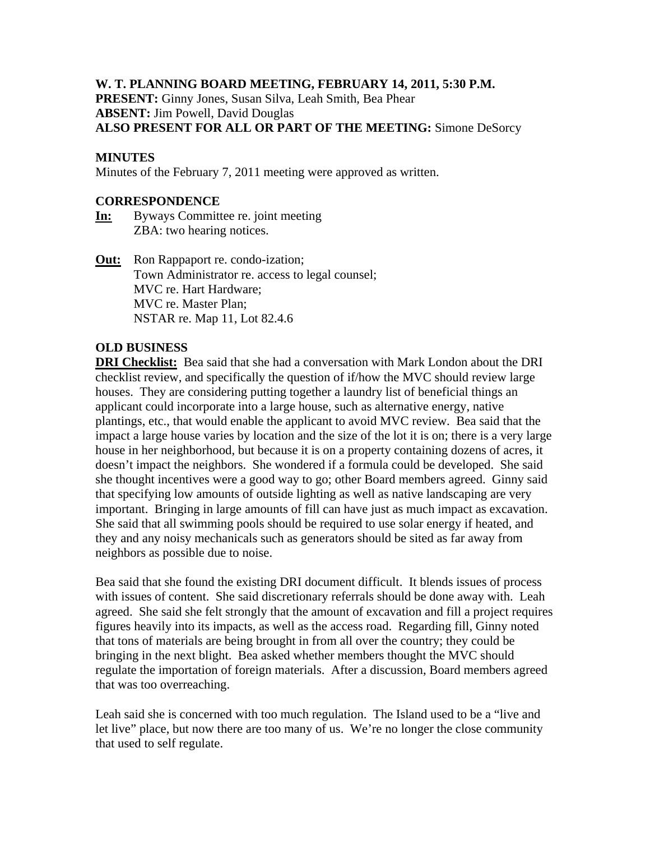# **W. T. PLANNING BOARD MEETING, FEBRUARY 14, 2011, 5:30 P.M.**

**PRESENT:** Ginny Jones, Susan Silva, Leah Smith, Bea Phear **ABSENT:** Jim Powell, David Douglas **ALSO PRESENT FOR ALL OR PART OF THE MEETING:** Simone DeSorcy

# **MINUTES**

Minutes of the February 7, 2011 meeting were approved as written.

#### **CORRESPONDENCE**

- **In:** Byways Committee re. joint meeting ZBA: two hearing notices.
- **Out:** Ron Rappaport re. condo-ization; Town Administrator re. access to legal counsel; MVC re. Hart Hardware; MVC re. Master Plan; NSTAR re. Map 11, Lot 82.4.6

# **OLD BUSINESS**

**DRI Checklist:** Bea said that she had a conversation with Mark London about the DRI checklist review, and specifically the question of if/how the MVC should review large houses. They are considering putting together a laundry list of beneficial things an applicant could incorporate into a large house, such as alternative energy, native plantings, etc., that would enable the applicant to avoid MVC review. Bea said that the impact a large house varies by location and the size of the lot it is on; there is a very large house in her neighborhood, but because it is on a property containing dozens of acres, it doesn't impact the neighbors. She wondered if a formula could be developed. She said she thought incentives were a good way to go; other Board members agreed. Ginny said that specifying low amounts of outside lighting as well as native landscaping are very important. Bringing in large amounts of fill can have just as much impact as excavation. She said that all swimming pools should be required to use solar energy if heated, and they and any noisy mechanicals such as generators should be sited as far away from neighbors as possible due to noise.

Bea said that she found the existing DRI document difficult. It blends issues of process with issues of content. She said discretionary referrals should be done away with. Leah agreed. She said she felt strongly that the amount of excavation and fill a project requires figures heavily into its impacts, as well as the access road. Regarding fill, Ginny noted that tons of materials are being brought in from all over the country; they could be bringing in the next blight. Bea asked whether members thought the MVC should regulate the importation of foreign materials. After a discussion, Board members agreed that was too overreaching.

Leah said she is concerned with too much regulation. The Island used to be a "live and let live" place, but now there are too many of us. We're no longer the close community that used to self regulate.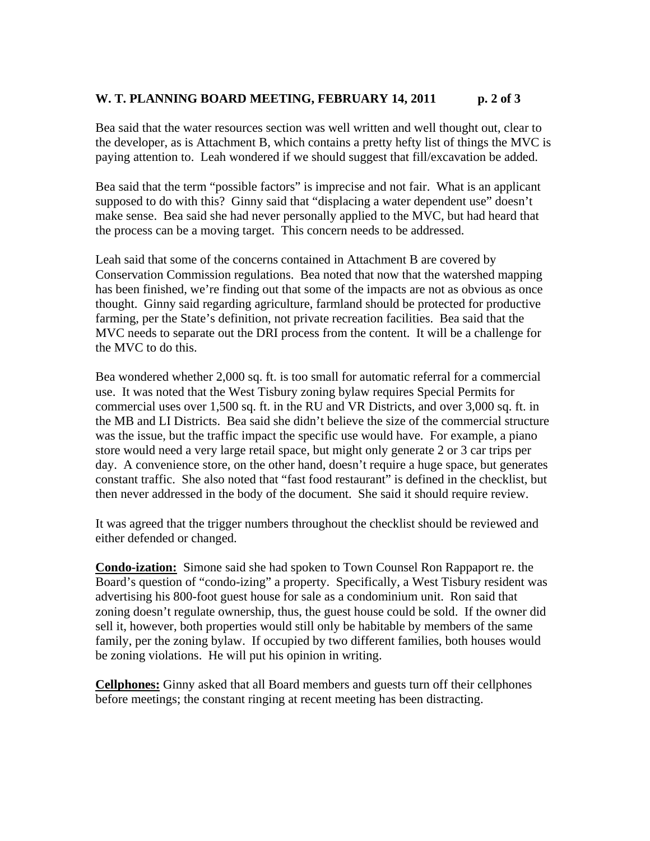# W. T. PLANNING BOARD MEETING, FEBRUARY 14, 2011 p. 2 of 3

Bea said that the water resources section was well written and well thought out, clear to the developer, as is Attachment B, which contains a pretty hefty list of things the MVC is paying attention to. Leah wondered if we should suggest that fill/excavation be added.

Bea said that the term "possible factors" is imprecise and not fair. What is an applicant supposed to do with this? Ginny said that "displacing a water dependent use" doesn't make sense. Bea said she had never personally applied to the MVC, but had heard that the process can be a moving target. This concern needs to be addressed.

Leah said that some of the concerns contained in Attachment B are covered by Conservation Commission regulations. Bea noted that now that the watershed mapping has been finished, we're finding out that some of the impacts are not as obvious as once thought. Ginny said regarding agriculture, farmland should be protected for productive farming, per the State's definition, not private recreation facilities. Bea said that the MVC needs to separate out the DRI process from the content. It will be a challenge for the MVC to do this.

Bea wondered whether 2,000 sq. ft. is too small for automatic referral for a commercial use. It was noted that the West Tisbury zoning bylaw requires Special Permits for commercial uses over 1,500 sq. ft. in the RU and VR Districts, and over 3,000 sq. ft. in the MB and LI Districts. Bea said she didn't believe the size of the commercial structure was the issue, but the traffic impact the specific use would have. For example, a piano store would need a very large retail space, but might only generate 2 or 3 car trips per day. A convenience store, on the other hand, doesn't require a huge space, but generates constant traffic. She also noted that "fast food restaurant" is defined in the checklist, but then never addressed in the body of the document. She said it should require review.

It was agreed that the trigger numbers throughout the checklist should be reviewed and either defended or changed.

**Condo-ization:** Simone said she had spoken to Town Counsel Ron Rappaport re. the Board's question of "condo-izing" a property. Specifically, a West Tisbury resident was advertising his 800-foot guest house for sale as a condominium unit. Ron said that zoning doesn't regulate ownership, thus, the guest house could be sold. If the owner did sell it, however, both properties would still only be habitable by members of the same family, per the zoning bylaw. If occupied by two different families, both houses would be zoning violations. He will put his opinion in writing.

**Cellphones:** Ginny asked that all Board members and guests turn off their cellphones before meetings; the constant ringing at recent meeting has been distracting.